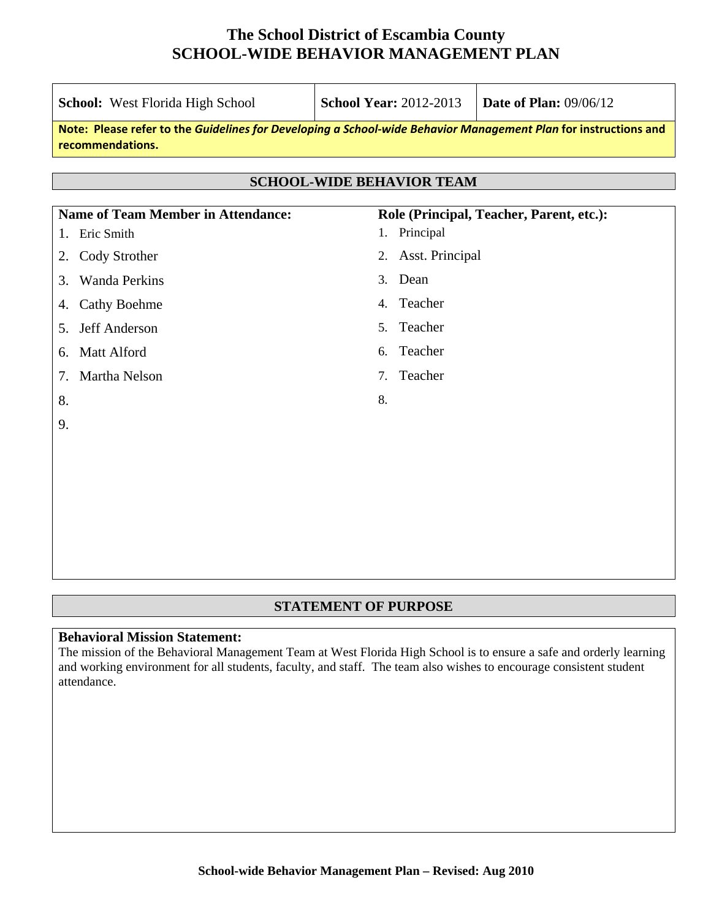| School: West Florida High School                                                                                                    | <b>School Year: 2012-2013</b>    | <b>Date of Plan: 09/06/12</b>            |  |  |
|-------------------------------------------------------------------------------------------------------------------------------------|----------------------------------|------------------------------------------|--|--|
| Note: Please refer to the Guidelines for Developing a School-wide Behavior Management Plan for instructions and<br>recommendations. |                                  |                                          |  |  |
|                                                                                                                                     | <b>SCHOOL-WIDE BEHAVIOR TEAM</b> |                                          |  |  |
| <b>Name of Team Member in Attendance:</b>                                                                                           |                                  | Role (Principal, Teacher, Parent, etc.): |  |  |
| Eric Smith<br>1.                                                                                                                    | Principal<br>1.                  |                                          |  |  |
| Cody Strother<br>2.                                                                                                                 | <b>Asst. Principal</b><br>2.     |                                          |  |  |
| <b>Wanda Perkins</b><br>3.                                                                                                          | Dean<br>3.                       |                                          |  |  |
| <b>Cathy Boehme</b><br>4.                                                                                                           | Teacher<br>4.                    |                                          |  |  |
| Jeff Anderson<br>5.                                                                                                                 | Teacher<br>5 <sub>1</sub>        |                                          |  |  |
| <b>Matt Alford</b><br>6.                                                                                                            | Teacher<br>6.                    |                                          |  |  |
| Martha Nelson<br>7.                                                                                                                 | Teacher<br>7.                    |                                          |  |  |
| 8.                                                                                                                                  | 8.                               |                                          |  |  |
| 9.                                                                                                                                  |                                  |                                          |  |  |
|                                                                                                                                     |                                  |                                          |  |  |
|                                                                                                                                     |                                  |                                          |  |  |
|                                                                                                                                     |                                  |                                          |  |  |
|                                                                                                                                     |                                  |                                          |  |  |
|                                                                                                                                     |                                  |                                          |  |  |

#### **STATEMENT OF PURPOSE**

#### **Behavioral Mission Statement:**

The mission of the Behavioral Management Team at West Florida High School is to ensure a safe and orderly learning and working environment for all students, faculty, and staff. The team also wishes to encourage consistent student attendance.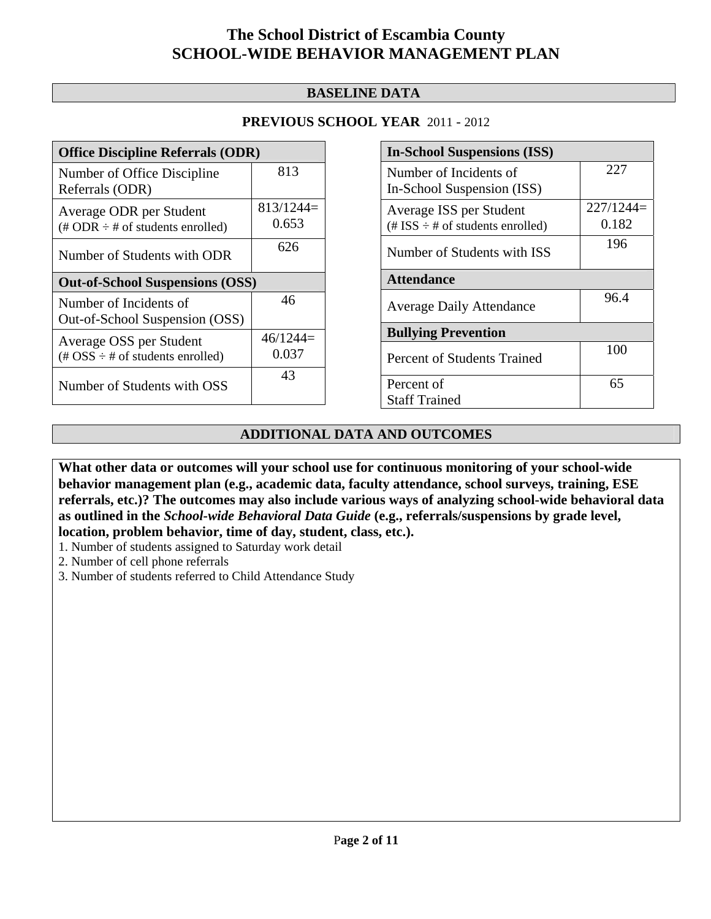#### **BASELINE DATA**

#### **PREVIOUS SCHOOL YEAR** 2011 - 2012

| <b>Office Discipline Referrals (ODR)</b>                                         |                      |  |  |
|----------------------------------------------------------------------------------|----------------------|--|--|
| Number of Office Discipline<br>Referrals (ODR)                                   | 813                  |  |  |
| Average ODR per Student<br>$(\text{\# ODR} \div \text{\# of students enrolled})$ | $813/1244=$<br>0.653 |  |  |
| Number of Students with ODR                                                      | 626                  |  |  |
| <b>Out-of-School Suspensions (OSS)</b>                                           |                      |  |  |
| Number of Incidents of<br>Out-of-School Suspension (OSS)                         | 46                   |  |  |
| Average OSS per Student                                                          | $46/1244=$           |  |  |
| $(\text{\#} \text{OSS} \div \text{\#} \text{ of students enrolled})$             | 0.037                |  |  |

| <b>In-School Suspensions (ISS)</b>                                 |                      |  |  |
|--------------------------------------------------------------------|----------------------|--|--|
| Number of Incidents of<br>In-School Suspension (ISS)               | 227                  |  |  |
| Average ISS per Student<br>$(\# ISS \div \# of students enrolled)$ | $227/1244=$<br>0.182 |  |  |
| Number of Students with ISS                                        | 196                  |  |  |
| <b>Attendance</b>                                                  |                      |  |  |
| <b>Average Daily Attendance</b>                                    | 96.4                 |  |  |
| <b>Bullying Prevention</b>                                         |                      |  |  |
| Percent of Students Trained                                        | 100                  |  |  |
| Percent of<br><b>Staff Trained</b>                                 | 65                   |  |  |

#### **ADDITIONAL DATA AND OUTCOMES**

**What other data or outcomes will your school use for continuous monitoring of your school-wide behavior management plan (e.g., academic data, faculty attendance, school surveys, training, ESE referrals, etc.)? The outcomes may also include various ways of analyzing school-wide behavioral data as outlined in the** *School-wide Behavioral Data Guide* **(e.g., referrals/suspensions by grade level, location, problem behavior, time of day, student, class, etc.).**

1. Number of students assigned to Saturday work detail

2. Number of cell phone referrals

3. Number of students referred to Child Attendance Study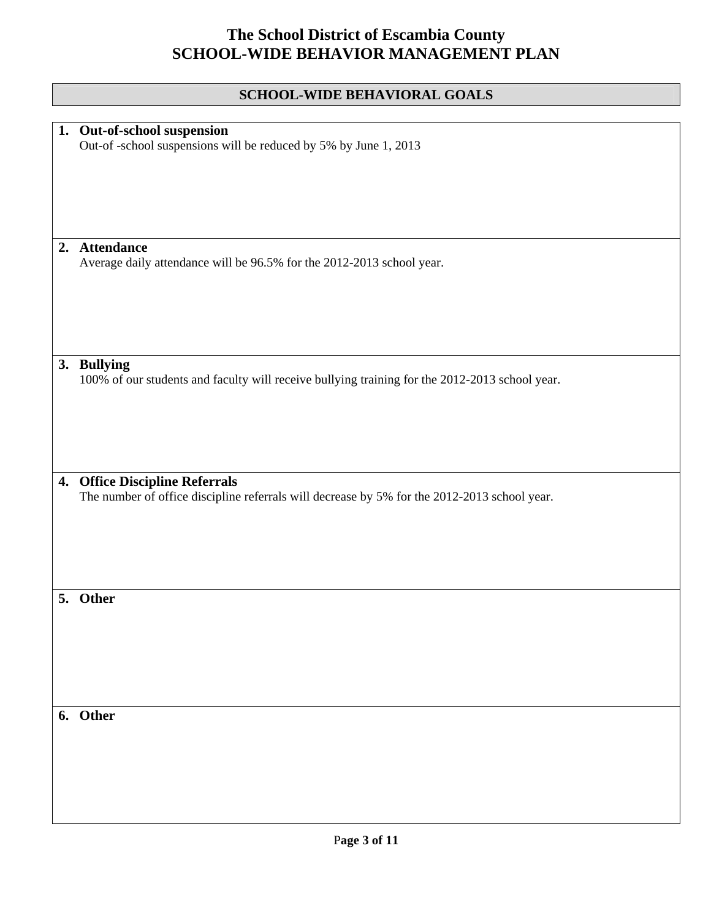|    | <b>SCHOOL-WIDE BEHAVIORAL GOALS</b>                                                            |
|----|------------------------------------------------------------------------------------------------|
|    |                                                                                                |
| 1. | Out-of-school suspension<br>Out-of-school suspensions will be reduced by 5% by June 1, 2013    |
|    |                                                                                                |
|    |                                                                                                |
|    |                                                                                                |
|    |                                                                                                |
|    | 2. Attendance                                                                                  |
|    | Average daily attendance will be 96.5% for the 2012-2013 school year.                          |
|    |                                                                                                |
|    |                                                                                                |
|    |                                                                                                |
|    |                                                                                                |
|    | 3. Bullying                                                                                    |
|    | 100% of our students and faculty will receive bullying training for the 2012-2013 school year. |
|    |                                                                                                |
|    |                                                                                                |
|    |                                                                                                |
|    |                                                                                                |
|    | 4. Office Discipline Referrals                                                                 |
|    | The number of office discipline referrals will decrease by 5% for the 2012-2013 school year.   |
|    |                                                                                                |
|    |                                                                                                |
|    |                                                                                                |
| 5  |                                                                                                |
|    | <b>Other</b>                                                                                   |
|    |                                                                                                |
|    |                                                                                                |
|    |                                                                                                |
|    |                                                                                                |
|    | 6. Other                                                                                       |
|    |                                                                                                |
|    |                                                                                                |
|    |                                                                                                |
|    |                                                                                                |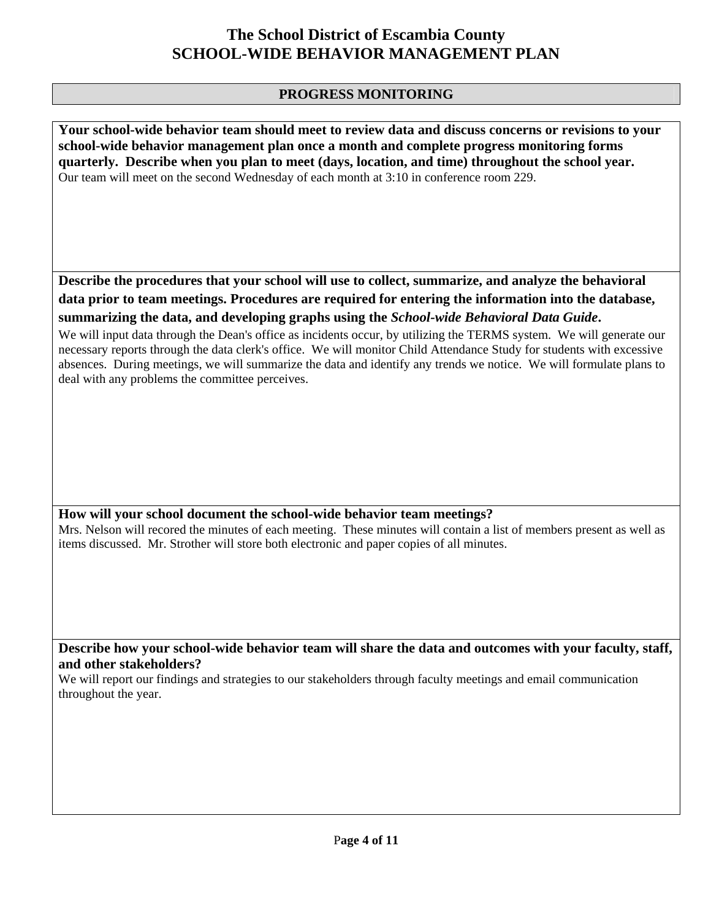#### **PROGRESS MONITORING**

**Your school-wide behavior team should meet to review data and discuss concerns or revisions to your school-wide behavior management plan once a month and complete progress monitoring forms quarterly. Describe when you plan to meet (days, location, and time) throughout the school year.**  Our team will meet on the second Wednesday of each month at 3:10 in conference room 229.

**Describe the procedures that your school will use to collect, summarize, and analyze the behavioral data prior to team meetings. Procedures are required for entering the information into the database, summarizing the data, and developing graphs using the** *School-wide Behavioral Data Guide***.** 

We will input data through the Dean's office as incidents occur, by utilizing the TERMS system. We will generate our necessary reports through the data clerk's office. We will monitor Child Attendance Study for students with excessive absences. During meetings, we will summarize the data and identify any trends we notice. We will formulate plans to deal with any problems the committee perceives.

#### **How will your school document the school-wide behavior team meetings?**

Mrs. Nelson will recored the minutes of each meeting. These minutes will contain a list of members present as well as items discussed. Mr. Strother will store both electronic and paper copies of all minutes.

**Describe how your school-wide behavior team will share the data and outcomes with your faculty, staff, and other stakeholders?** 

We will report our findings and strategies to our stakeholders through faculty meetings and email communication throughout the year.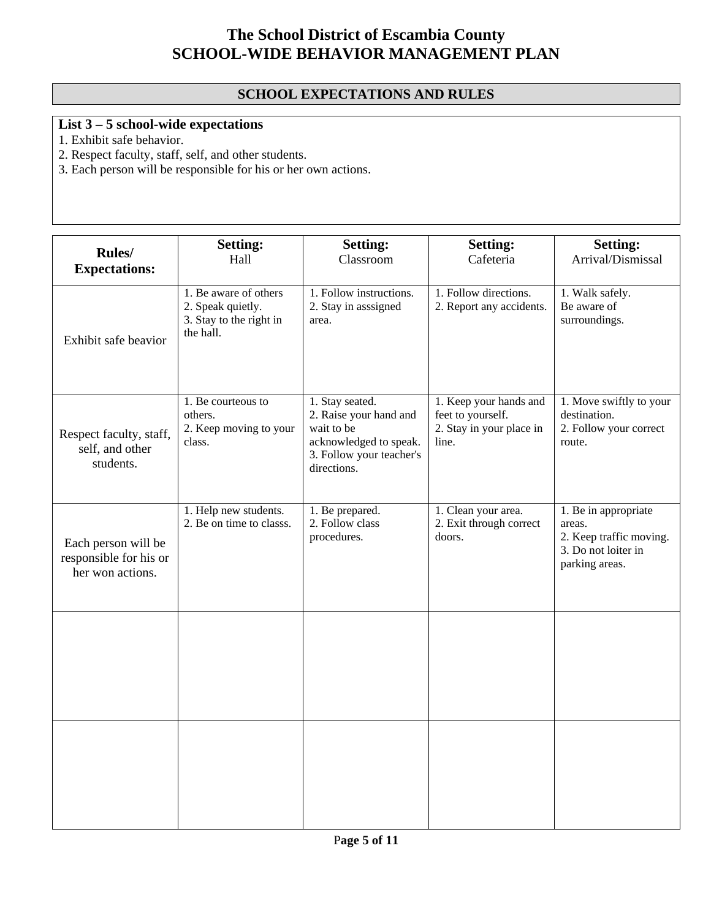### **SCHOOL EXPECTATIONS AND RULES**

### **List 3 – 5 school-wide expectations**

1. Exhibit safe behavior.

2. Respect faculty, staff, self, and other students.

3. Each person will be responsible for his or her own actions.

|                                                                   | <b>Setting:</b>                                                                    | <b>Setting:</b>                                                                                                              | <b>Setting:</b>                                                                  | <b>Setting:</b>                                                                                    |
|-------------------------------------------------------------------|------------------------------------------------------------------------------------|------------------------------------------------------------------------------------------------------------------------------|----------------------------------------------------------------------------------|----------------------------------------------------------------------------------------------------|
| Rules/<br><b>Expectations:</b>                                    | Hall                                                                               | Classroom                                                                                                                    | Cafeteria                                                                        | Arrival/Dismissal                                                                                  |
| Exhibit safe beavior                                              | 1. Be aware of others<br>2. Speak quietly.<br>3. Stay to the right in<br>the hall. | 1. Follow instructions.<br>2. Stay in asssigned<br>area.                                                                     | 1. Follow directions.<br>2. Report any accidents.                                | 1. Walk safely.<br>Be aware of<br>surroundings.                                                    |
| Respect faculty, staff,<br>self, and other<br>students.           | 1. Be courteous to<br>others.<br>2. Keep moving to your<br>class.                  | 1. Stay seated.<br>2. Raise your hand and<br>wait to be<br>acknowledged to speak.<br>3. Follow your teacher's<br>directions. | 1. Keep your hands and<br>feet to yourself.<br>2. Stay in your place in<br>line. | 1. Move swiftly to your<br>destination.<br>2. Follow your correct<br>route.                        |
| Each person will be<br>responsible for his or<br>her won actions. | 1. Help new students.<br>2. Be on time to classs.                                  | 1. Be prepared.<br>2. Follow class<br>procedures.                                                                            | 1. Clean your area.<br>2. Exit through correct<br>doors.                         | 1. Be in appropriate<br>areas.<br>2. Keep traffic moving.<br>3. Do not loiter in<br>parking areas. |
|                                                                   |                                                                                    |                                                                                                                              |                                                                                  |                                                                                                    |
|                                                                   |                                                                                    |                                                                                                                              |                                                                                  |                                                                                                    |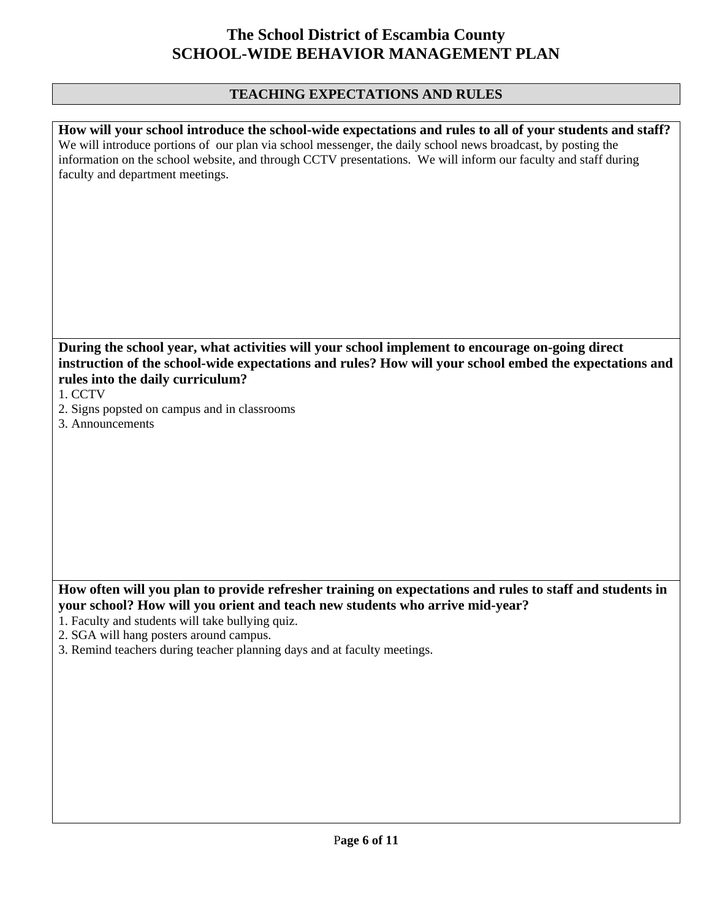#### **TEACHING EXPECTATIONS AND RULES**

| How will your school introduce the school-wide expectations and rules to all of your students and staff?       |
|----------------------------------------------------------------------------------------------------------------|
| We will introduce portions of our plan via school messenger, the daily school news broadcast, by posting the   |
| information on the school website, and through CCTV presentations. We will inform our faculty and staff during |
| faculty and department meetings.                                                                               |
|                                                                                                                |
|                                                                                                                |
|                                                                                                                |
|                                                                                                                |
|                                                                                                                |
|                                                                                                                |
|                                                                                                                |
|                                                                                                                |
|                                                                                                                |
|                                                                                                                |
| During the school year, what activities will your school implement to encourage on-going direct                |
| instruction of the school-wide expectations and rules? How will your school embed the expectations and         |
|                                                                                                                |
| rules into the daily curriculum?                                                                               |
| 1. CCTV                                                                                                        |
| 2. Signs popsted on campus and in classrooms                                                                   |
| 3. Announcements                                                                                               |
|                                                                                                                |
|                                                                                                                |
|                                                                                                                |
|                                                                                                                |

### **How often will you plan to provide refresher training on expectations and rules to staff and students in your school? How will you orient and teach new students who arrive mid-year?**

- 1. Faculty and students will take bullying quiz.
- 2. SGA will hang posters around campus.
- 3. Remind teachers during teacher planning days and at faculty meetings.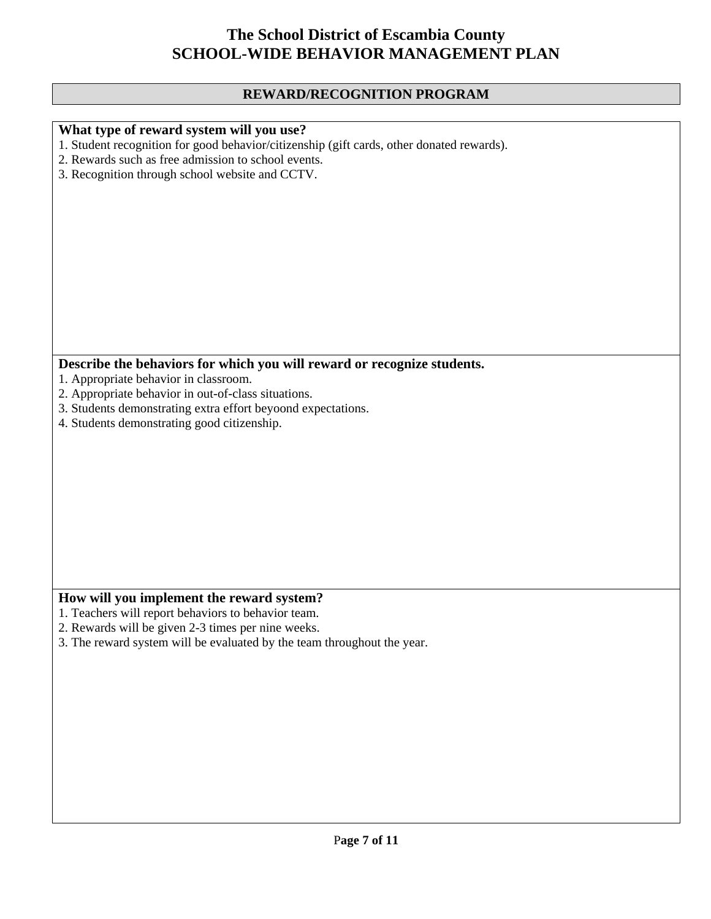#### **REWARD/RECOGNITION PROGRAM**

#### **What type of reward system will you use?**

1. Student recognition for good behavior/citizenship (gift cards, other donated rewards).

- 2. Rewards such as free admission to school events.
- 3. Recognition through school website and CCTV.

### **Describe the behaviors for which you will reward or recognize students.**

- 1. Appropriate behavior in classroom.
- 2. Appropriate behavior in out-of-class situations.
- 3. Students demonstrating extra effort beyoond expectations.
- 4. Students demonstrating good citizenship.

#### **How will you implement the reward system?**

- 1. Teachers will report behaviors to behavior team.
- 2. Rewards will be given 2-3 times per nine weeks.
- 3. The reward system will be evaluated by the team throughout the year.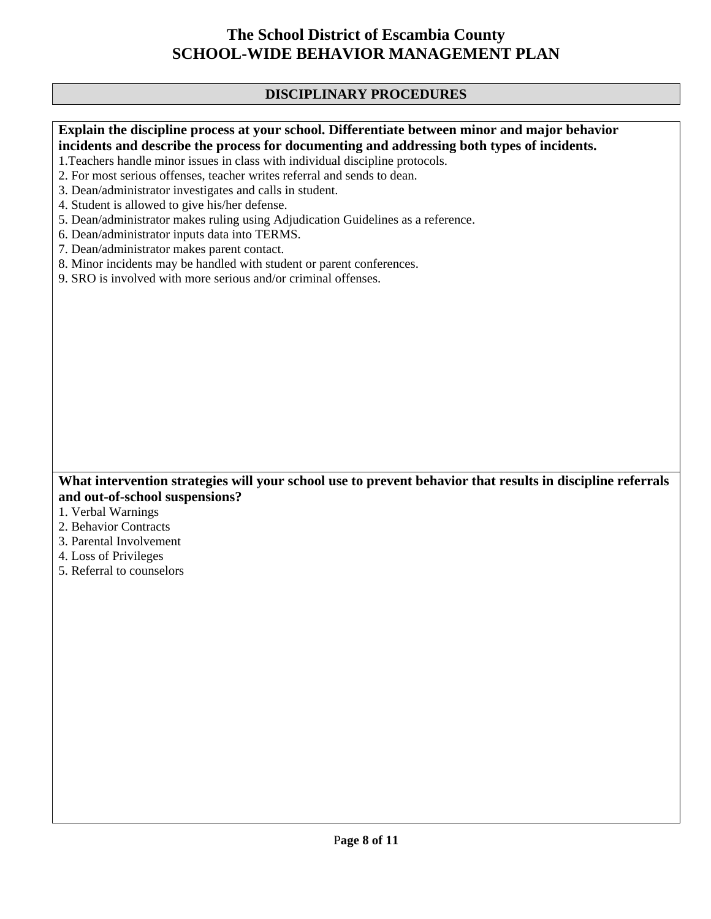#### **DISCIPLINARY PROCEDURES**

#### **Explain the discipline process at your school. Differentiate between minor and major behavior incidents and describe the process for documenting and addressing both types of incidents.**

- 1.Teachers handle minor issues in class with individual discipline protocols.
- 2. For most serious offenses, teacher writes referral and sends to dean.
- 3. Dean/administrator investigates and calls in student.
- 4. Student is allowed to give his/her defense.
- 5. Dean/administrator makes ruling using Adjudication Guidelines as a reference.
- 6. Dean/administrator inputs data into TERMS.
- 7. Dean/administrator makes parent contact.
- 8. Minor incidents may be handled with student or parent conferences.
- 9. SRO is involved with more serious and/or criminal offenses.

#### **What intervention strategies will your school use to prevent behavior that results in discipline referrals and out-of-school suspensions?**

- 1. Verbal Warnings
- 2. Behavior Contracts
- 3. Parental Involvement
- 4. Loss of Privileges
- 5. Referral to counselors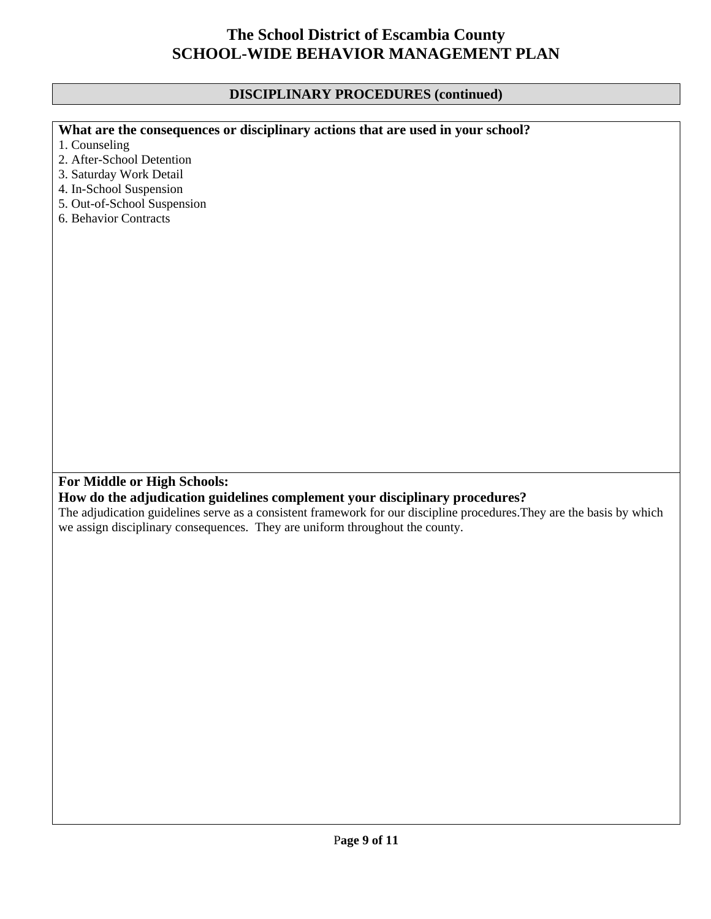#### **DISCIPLINARY PROCEDURES (continued)**

### **What are the consequences or disciplinary actions that are used in your school?**

- 1. Counseling
- 2. After-School Detention
- 3. Saturday Work Detail
- 4. In-School Suspension
- 5. Out-of-School Suspension
- 6. Behavior Contracts

#### **For Middle or High Schools:**

#### **How do the adjudication guidelines complement your disciplinary procedures?**

The adjudication guidelines serve as a consistent framework for our discipline procedures.They are the basis by which we assign disciplinary consequences. They are uniform throughout the county.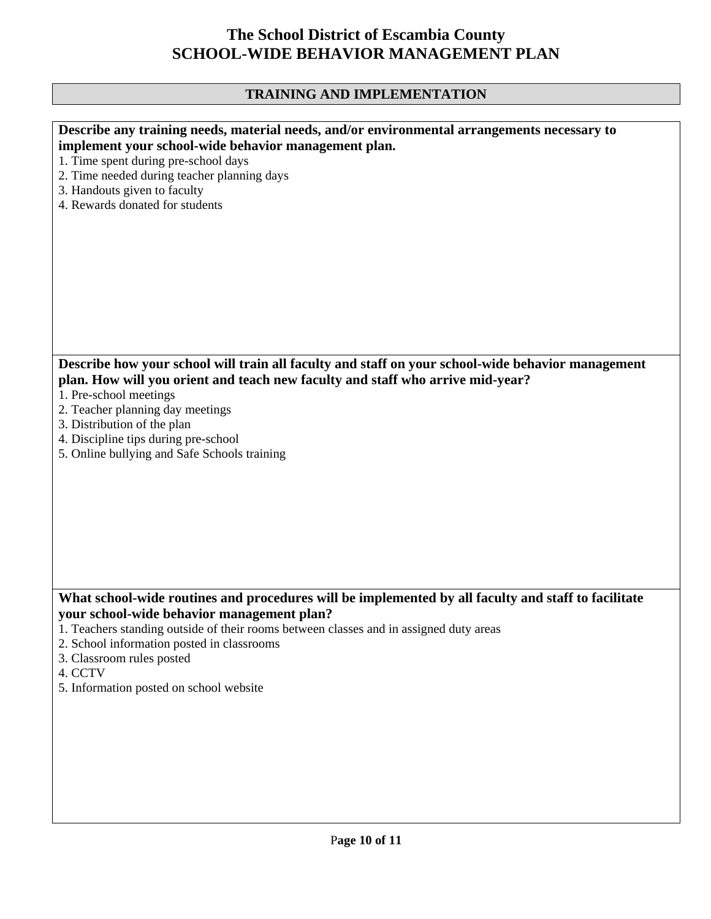### **TRAINING AND IMPLEMENTATION**

| Describe any training needs, material needs, and/or environmental arrangements necessary to         |
|-----------------------------------------------------------------------------------------------------|
| implement your school-wide behavior management plan.                                                |
| 1. Time spent during pre-school days                                                                |
| 2. Time needed during teacher planning days                                                         |
|                                                                                                     |
| 3. Handouts given to faculty                                                                        |
| 4. Rewards donated for students                                                                     |
|                                                                                                     |
|                                                                                                     |
|                                                                                                     |
|                                                                                                     |
|                                                                                                     |
|                                                                                                     |
|                                                                                                     |
|                                                                                                     |
|                                                                                                     |
|                                                                                                     |
| Describe how your school will train all faculty and staff on your school-wide behavior management   |
|                                                                                                     |
| plan. How will you orient and teach new faculty and staff who arrive mid-year?                      |
| 1. Pre-school meetings                                                                              |
| 2. Teacher planning day meetings                                                                    |
| 3. Distribution of the plan                                                                         |
| 4. Discipline tips during pre-school                                                                |
| 5. Online bullying and Safe Schools training                                                        |
|                                                                                                     |
|                                                                                                     |
|                                                                                                     |
|                                                                                                     |
|                                                                                                     |
|                                                                                                     |
|                                                                                                     |
|                                                                                                     |
|                                                                                                     |
|                                                                                                     |
| What school-wide routines and procedures will be implemented by all faculty and staff to facilitate |
| your school-wide behavior management plan?                                                          |
| 1. Teachers standing outside of their rooms between classes and in assigned duty areas              |
| 2. School information posted in classrooms                                                          |
| 3. Classroom rules posted                                                                           |
| 4. CCTV                                                                                             |
| 5. Information posted on school website                                                             |
|                                                                                                     |
|                                                                                                     |
|                                                                                                     |
|                                                                                                     |
|                                                                                                     |
|                                                                                                     |
|                                                                                                     |
|                                                                                                     |
|                                                                                                     |